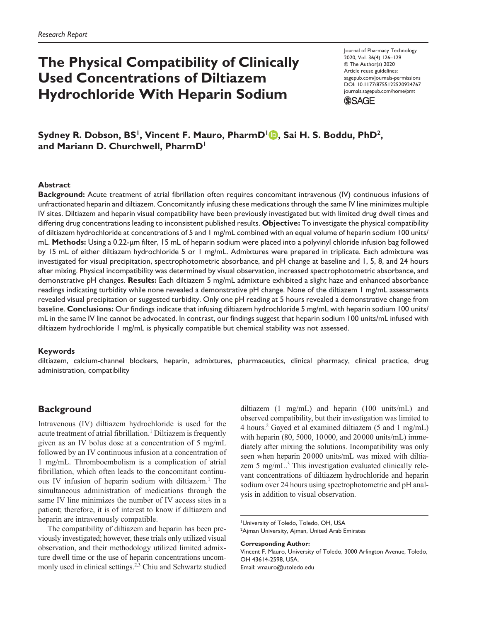# **The Physical Compatibility of Clinically Used Concentrations of Diltiazem Hydrochloride With Heparin Sodium**

Journal of Pharmacy Technology 2020, Vol. 36(4) 126-129 © The Author(s) 2020 Article reuse guidelines: sagepub.com/journals-permissions https://doi.org/10.1177/8755122520924767 DOI: 10.1177/8755122520924767 journals.sagepub.com/home/pmt **SSAGE** 

**Sydney R. Dobson, BS<sup>1</sup> , Vincent F. Mauro, PharmD<sup>1</sup> , Sai H. S. Boddu, PhD<sup>2</sup> , and Mariann D. Churchwell, PharmD<sup>1</sup>**

#### **Abstract**

**Background:** Acute treatment of atrial fibrillation often requires concomitant intravenous (IV) continuous infusions of unfractionated heparin and diltiazem. Concomitantly infusing these medications through the same IV line minimizes multiple IV sites. Diltiazem and heparin visual compatibility have been previously investigated but with limited drug dwell times and differing drug concentrations leading to inconsistent published results. **Objective:** To investigate the physical compatibility of diltiazem hydrochloride at concentrations of 5 and 1 mg/mL combined with an equal volume of heparin sodium 100 units/ mL. **Methods:** Using a 0.22-µm filter, 15 mL of heparin sodium were placed into a polyvinyl chloride infusion bag followed by 15 mL of either diltiazem hydrochloride 5 or 1 mg/mL. Admixtures were prepared in triplicate. Each admixture was investigated for visual precipitation, spectrophotometric absorbance, and pH change at baseline and 1, 5, 8, and 24 hours after mixing. Physical incompatibility was determined by visual observation, increased spectrophotometric absorbance, and demonstrative pH changes. **Results:** Each diltiazem 5 mg/mL admixture exhibited a slight haze and enhanced absorbance readings indicating turbidity while none revealed a demonstrative pH change. None of the diltiazem 1 mg/mL assessments revealed visual precipitation or suggested turbidity. Only one pH reading at 5 hours revealed a demonstrative change from baseline. **Conclusions:** Our findings indicate that infusing diltiazem hydrochloride 5 mg/mL with heparin sodium 100 units/ mL in the same IV line cannot be advocated. In contrast, our findings suggest that heparin sodium 100 units/mL infused with diltiazem hydrochloride 1 mg/mL is physically compatible but chemical stability was not assessed.

#### **Keywords**

diltiazem, calcium-channel blockers, heparin, admixtures, pharmaceutics, clinical pharmacy, clinical practice, drug administration, compatibility

## **Background**

Intravenous (IV) diltiazem hydrochloride is used for the acute treatment of atrial fibrillation.<sup>1</sup> Diltiazem is frequently given as an IV bolus dose at a concentration of 5 mg/mL followed by an IV continuous infusion at a concentration of 1 mg/mL. Thromboembolism is a complication of atrial fibrillation, which often leads to the concomitant continuous IV infusion of heparin sodium with diltiazem.<sup>1</sup> The simultaneous administration of medications through the same IV line minimizes the number of IV access sites in a patient; therefore, it is of interest to know if diltiazem and heparin are intravenously compatible.

The compatibility of diltiazem and heparin has been previously investigated; however, these trials only utilized visual observation, and their methodology utilized limited admixture dwell time or the use of heparin concentrations uncommonly used in clinical settings.<sup>2,3</sup> Chiu and Schwartz studied diltiazem (1 mg/mL) and heparin (100 units/mL) and observed compatibility, but their investigation was limited to 4 hours.<sup>2</sup> Gayed et al examined diltiazem (5 and 1 mg/mL) with heparin (80, 5000, 10 000, and 20 000 units/mL) immediately after mixing the solutions. Incompatibility was only seen when heparin 20 000 units/mL was mixed with diltiazem 5 mg/mL.<sup>3</sup> This investigation evaluated clinically relevant concentrations of diltiazem hydrochloride and heparin sodium over 24 hours using spectrophotometric and pH analysis in addition to visual observation.

**Corresponding Author:** Vincent F. Mauro, University of Toledo, 3000 Arlington Avenue, Toledo, OH 43614-2598, USA. Email: vmauro@utoledo.edu

<sup>1</sup>University of Toledo, Toledo, OH, USA <sup>2</sup>Ajman University, Ajman, United Arab Emirates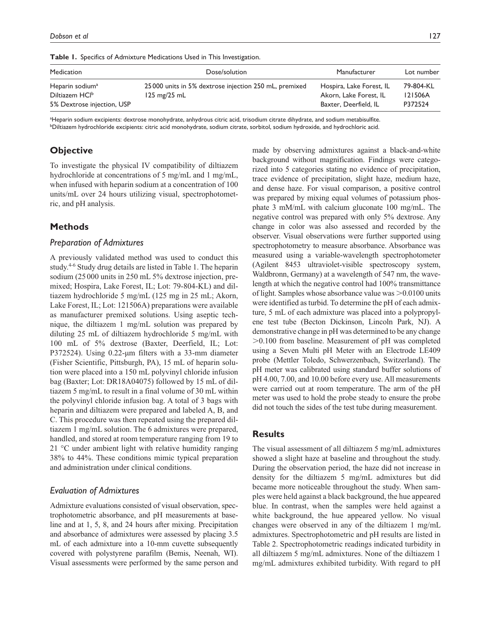| <b>Table 1.</b> Specifics of Admixture Medications Used in This Investigation. |                                                        |                          |            |  |  |  |
|--------------------------------------------------------------------------------|--------------------------------------------------------|--------------------------|------------|--|--|--|
| Medication                                                                     | Dose/solution                                          | Manufacturer             | Lot number |  |  |  |
| Heparin sodium <sup>a</sup>                                                    | 25 000 units in 5% dextrose injection 250 mL, premixed | Hospira, Lake Forest, IL | 79-804-KL  |  |  |  |
| Diltiazem HCl <sup>b</sup>                                                     | $125 \text{ mg}/25 \text{ mL}$                         | Akorn, Lake Forest, IL   | 121506A    |  |  |  |
| 5% Dextrose injection, USP                                                     |                                                        | Baxter, Deerfield, IL    | P372524    |  |  |  |

**Table 1.** Specifics of Admixture Medications Used in This Investigat

aHeparin sodium excipients: dextrose monohydrate, anhydrous citric acid, trisodium citrate dihydrate, and sodium metabisulfite. bDiltiazem hydrochloride excipients: citric acid monohydrate, sodium citrate, sorbitol, sodium hydroxide, and hydrochloric acid.

# **Objective**

To investigate the physical IV compatibility of diltiazem hydrochloride at concentrations of 5 mg/mL and 1 mg/mL, when infused with heparin sodium at a concentration of 100 units/mL over 24 hours utilizing visual, spectrophotometric, and pH analysis.

# **Methods**

## *Preparation of Admixtures*

A previously validated method was used to conduct this study.4-6 Study drug details are listed in Table 1. The heparin sodium (25 000 units in 250 mL 5% dextrose injection, premixed; Hospira, Lake Forest, IL; Lot: 79-804-KL) and diltiazem hydrochloride 5 mg/mL (125 mg in 25 mL; Akorn, Lake Forest, IL; Lot: 121506A) preparations were available as manufacturer premixed solutions. Using aseptic technique, the diltiazem 1 mg/mL solution was prepared by diluting 25 mL of diltiazem hydrochloride 5 mg/mL with 100 mL of 5% dextrose (Baxter, Deerfield, IL; Lot: P372524). Using 0.22-µm filters with a 33-mm diameter (Fisher Scientific, Pittsburgh, PA), 15 mL of heparin solution were placed into a 150 mL polyvinyl chloride infusion bag (Baxter; Lot: DR18A04075) followed by 15 mL of diltiazem 5 mg/mL to result in a final volume of 30 mL within the polyvinyl chloride infusion bag. A total of 3 bags with heparin and diltiazem were prepared and labeled A, B, and C. This procedure was then repeated using the prepared diltiazem 1 mg/mL solution. The 6 admixtures were prepared, handled, and stored at room temperature ranging from 19 to 21 °C under ambient light with relative humidity ranging 38% to 44%. These conditions mimic typical preparation and administration under clinical conditions.

## *Evaluation of Admixtures*

Admixture evaluations consisted of visual observation, spectrophotometric absorbance, and pH measurements at baseline and at 1, 5, 8, and 24 hours after mixing. Precipitation and absorbance of admixtures were assessed by placing 3.5 mL of each admixture into a 10-mm cuvette subsequently covered with polystyrene parafilm (Bemis, Neenah, WI). Visual assessments were performed by the same person and

made by observing admixtures against a black-and-white background without magnification. Findings were categorized into 5 categories stating no evidence of precipitation, trace evidence of precipitation, slight haze, medium haze, and dense haze. For visual comparison, a positive control was prepared by mixing equal volumes of potassium phosphate 3 mM/mL with calcium gluconate 100 mg/mL. The negative control was prepared with only 5% dextrose. Any change in color was also assessed and recorded by the observer. Visual observations were further supported using spectrophotometry to measure absorbance. Absorbance was measured using a variable-wavelength spectrophotometer (Agilent 8453 ultraviolet-visible spectroscopy system, Waldbronn, Germany) at a wavelength of 547 nm, the wavelength at which the negative control had 100% transmittance of light. Samples whose absorbance value was >0.0100 units were identified as turbid. To determine the pH of each admixture, 5 mL of each admixture was placed into a polypropylene test tube (Becton Dickinson, Lincoln Park, NJ). A demonstrative change in pH was determined to be any change >0.100 from baseline. Measurement of pH was completed using a Seven Multi pH Meter with an Electrode LE409 probe (Mettler Toledo, Schwerzenbach, Switzerland). The pH meter was calibrated using standard buffer solutions of pH 4.00, 7.00, and 10.00 before every use. All measurements were carried out at room temperature. The arm of the pH meter was used to hold the probe steady to ensure the probe did not touch the sides of the test tube during measurement.

# **Results**

The visual assessment of all diltiazem 5 mg/mL admixtures showed a slight haze at baseline and throughout the study. During the observation period, the haze did not increase in density for the diltiazem 5 mg/mL admixtures but did became more noticeable throughout the study. When samples were held against a black background, the hue appeared blue. In contrast, when the samples were held against a white background, the hue appeared yellow. No visual changes were observed in any of the diltiazem 1 mg/mL admixtures. Spectrophotometric and pH results are listed in Table 2. Spectrophotometric readings indicated turbidity in all diltiazem 5 mg/mL admixtures. None of the diltiazem 1 mg/mL admixtures exhibited turbidity. With regard to pH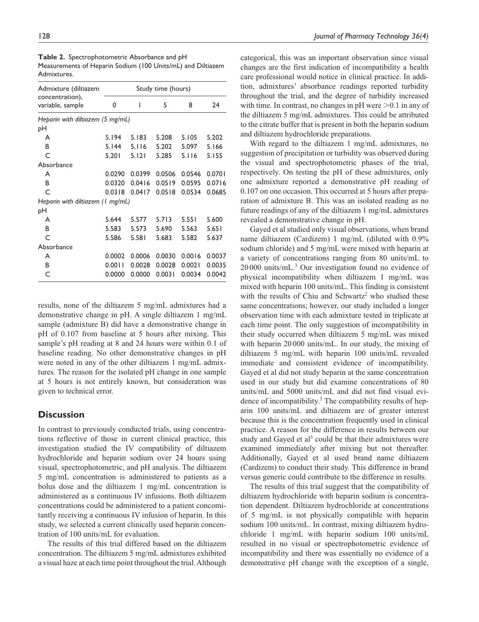| Admixture (diltiazem                | Study time (hours) |        |        |        |        |  |
|-------------------------------------|--------------------|--------|--------|--------|--------|--|
| concentration),<br>variable, sample | 0                  | ı      | 5      | 8      | 24     |  |
| Heparin with diltiazem (5 mg/mL)    |                    |        |        |        |        |  |
| рH                                  |                    |        |        |        |        |  |
| A                                   | 5.194              | 5.183  | 5.208  | 5.105  | 5.202  |  |
| B                                   | 5.144              | 5.116  | 5.202  | 5.097  | 5.166  |  |
| C                                   | 5.201              | 5.121  | 5.285  | 5.116  | 5.155  |  |
| Absorbance                          |                    |        |        |        |        |  |
| A                                   | 0.0290             | 0.0399 | 0.0506 | 0.0546 | 0.0701 |  |
| B                                   | 0.0320             | 0.0416 | 0.0519 | 0.0595 | 0.0716 |  |
| C                                   | 0.0318             | 0.0417 | 0.0518 | 0.0534 | 0.0685 |  |
| Heparin with diltiazem (1 mg/mL)    |                    |        |        |        |        |  |
| pН                                  |                    |        |        |        |        |  |
| A                                   | 5.644              | 5.577  | 5.713  | 5.551  | 5.600  |  |
| B                                   | 5.583              | 5.573  | 5.690  | 5.563  | 5.651  |  |
| C                                   | 5.586              | 5.581  | 5.683  | 5.582  | 5.637  |  |
| Absorbance                          |                    |        |        |        |        |  |
| A                                   | 0.0002             | 0.0006 | 0.0030 | 0.0016 | 0.0037 |  |
| B                                   | 0.0011             | 0.0028 | 0.0028 | 0.0021 | 0.0035 |  |
| C                                   | 0.0000             | 0.0000 | 0.0031 | 0.0034 | 0.0042 |  |
|                                     |                    |        |        |        |        |  |

**Table 2.** Spectrophotometric Absorbance and pH Measurements of Heparin Sodium (100 Units/mL) and Diltiazem Admixtures.

results, none of the diltiazem 5 mg/mL admixtures had a demonstrative change in pH. A single diltiazem 1 mg/mL sample (admixture B) did have a demonstrative change in pH of 0.107 from baseline at 5 hours after mixing. This sample's pH reading at 8 and 24 hours were within 0.1 of baseline reading. No other demonstrative changes in pH were noted in any of the other diltiazem 1 mg/mL admixtures. The reason for the isolated pH change in one sample at 5 hours is not entirely known, but consideration was given to technical error.

# **Discussion**

In contrast to previously conducted trials, using concentrations reflective of those in current clinical practice, this investigation studied the IV compatibility of diltiazem hydrochloride and heparin sodium over 24 hours using visual, spectrophotometric, and pH analysis. The diltiazem 5 mg/mL concentration is administered to patients as a bolus dose and the diltiazem 1 mg/mL concentration is administered as a continuous IV infusions. Both diltiazem concentrations could be administered to a patient concomitantly receiving a continuous IV infusion of heparin. In this study, we selected a current clinically used heparin concentration of 100 units/mL for evaluation.

The results of this trial differed based on the diltiazem concentration. The diltiazem 5 mg/mL admixtures exhibited a visual haze at each time point throughout the trial. Although categorical, this was an important observation since visual changes are the first indication of incompatibility a health care professional would notice in clinical practice. In addition, admixtures' absorbance readings reported turbidity throughout the trial, and the degree of turbidity increased with time. In contrast, no changes in pH were >0.1 in any of the diltiazem 5 mg/mL admixtures. This could be attributed to the citrate buffer that is present in both the heparin sodium and diltiazem hydrochloride preparations.

With regard to the diltiazem 1 mg/mL admixtures, no suggestion of precipitation or turbidity was observed during the visual and spectrophotometric phases of the trial, respectively. On testing the pH of these admixtures, only one admixture reported a demonstrative pH reading of 0.107 on one occasion. This occurred at 5 hours after preparation of admixture B. This was an isolated reading as no future readings of any of the diltiazem 1 mg/mL admixtures revealed a demonstrative change in pH.

Gayed et al studied only visual observations, when brand name diltiazem (Cardizem) 1 mg/mL (diluted with 0.9% sodium chloride) and 5 mg/mL were mixed with heparin at a variety of concentrations ranging from 80 units/mL to 20 000 units/mL.<sup>3</sup> Our investigation found no evidence of physical incompatibility when diltiazem 1 mg/mL was mixed with heparin 100 units/mL. This finding is consistent with the results of Chiu and Schwartz<sup>2</sup> who studied these same concentrations; however, our study included a longer observation time with each admixture tested in triplicate at each time point. The only suggestion of incompatibility in their study occurred when diltiazem 5 mg/mL was mixed with heparin 20 000 units/mL. In our study, the mixing of diltiazem 5 mg/mL with heparin 100 units/mL revealed immediate and consistent evidence of incompatibility. Gayed et al did not study heparin at the same concentration used in our study but did examine concentrations of 80 units/mL and 5000 units/mL and did not find visual evidence of incompatibility.<sup>3</sup> The compatibility results of heparin 100 units/mL and diltiazem are of greater interest because this is the concentration frequently used in clinical practice. A reason for the difference in results between our study and Gayed et al<sup>3</sup> could be that their admixtures were examined immediately after mixing but not thereafter. Additionally, Gayed et al used brand name diltiazem (Cardizem) to conduct their study. This difference in brand versus generic could contribute to the difference in results.

The results of this trial suggest that the compatibility of diltiazem hydrochloride with heparin sodium is concentration dependent. Diltiazem hydrochloride at concentrations of 5 mg/mL is not physically compatible with heparin sodium 100 units/mL. In contrast, mixing diltiazem hydrochloride 1 mg/mL with heparin sodium 100 units/mL resulted in no visual or spectrophotometric evidence of incompatibility and there was essentially no evidence of a demonstrative pH change with the exception of a single,